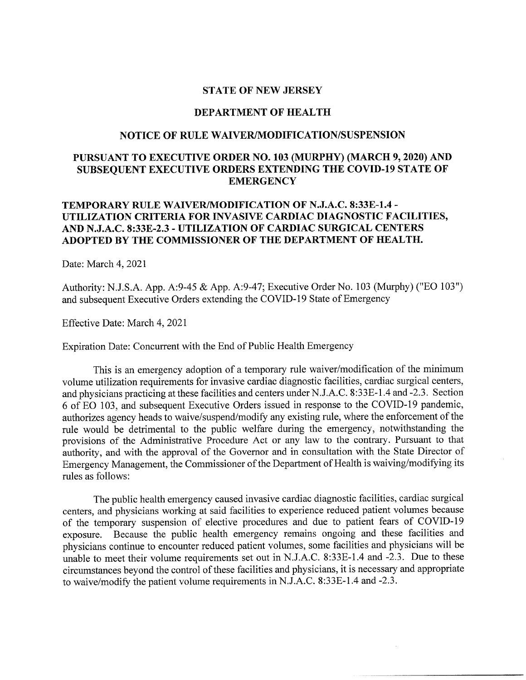### **STATE OF NEW JERSEY**

### **DEPARTMENT OF HEALTH**

## **NOTICE OF RULE WAIVER/MODIFICATION/SUSPENSION**

# **PURSUANT TO EXECUTIVE ORDER NO. 103 (MURPHY) (MARCH 9, 2020) AND SUBSEQUENT EXECUTIVE ORDERS EXTENDING THE COVID-19 STATE OF EMERGENCY**

## **TEMPORARY RULE WAIVERIMODIFICATION OF N.J.A.C. 8:33E-1.4- UTILIZATION CRITERIA FOR INVASIVE CARDIAC DIAGNOSTIC FACILITIES, AND N.J.A.C. 8:33E-2.3 - UTILIZATION OF CARDIAC SURGICAL CENTERS ADOPTED BY THE COMMISSIONER OF THE DEPARTMENT OF HEALTH.**

Date: March 4, 2021

Authority: N.J.S.A. App. A:9-45 & App. A:9-47; Executive Order No. 103 (Murphy) ("EO 103") and subsequent Executive Orders extending the COVID-19 State of Emergency

Effective Date: March 4, 2021

Expiration Date: Concurrent with the End of Public Health Emergency

This is an emergency adoption of a temporary rule waiver/modification of the minimum volume utilization requirements for invasive cardiac diagnostic facilities, cardiac surgical centers, and physicians practicing at these facilities and centers under N.J.A.C. 8:33E-1.4 and -2.3. Section 6 of EO 103, and subsequent Executive Orders issued in response to the COVID-19 pandemic, authorizes agency heads to waive/suspend/modify any existing rule, where the enforcement of the rule would be detrimental to the public welfare during the emergency, notwithstanding the provisions of the Administrative Procedure Act or any law to the contrary. Pursuant to that authority, and with the approval of the Governor and in consultation with the State Director of Emergency Management, the Commissioner of the Department of Health is waiving/modifying its rules as follows:

The public health emergency caused invasive cardiac diagnostic facilities, cardiac surgical centers, and physicians working at said facilities to experience reduced patient volumes because of the temporary suspension of elective procedures and due to patient fears of COVID-19 exposure. Because the public health emergency remains ongoing and these facilities and physicians continue to encounter reduced patient volumes, some facilities and physicians will be unable to meet their volume requirements set out in N.J.A.C. 8:33E-1.4 and -2.3. Due to these circumstances beyond the control of these facilities and physicians, it is necessary and appropriate to waive/modify the patient volume requirements in N.J.A.C. 8:33E-1.4 and -2.3.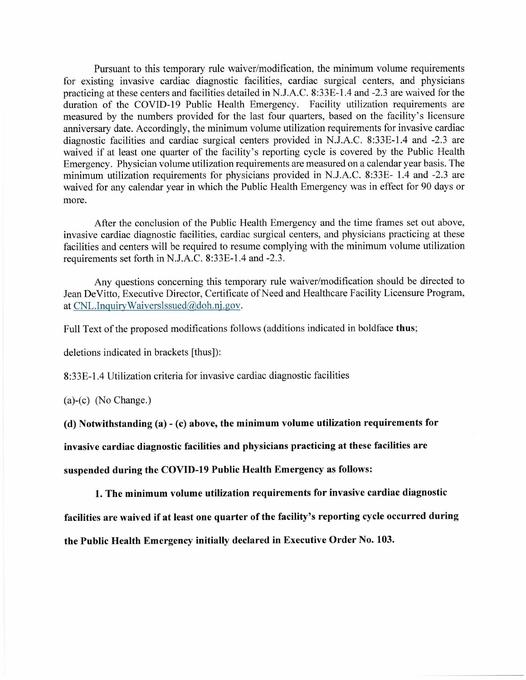Pursuant to this temporary rule waiver/modification, the minimum volume requirements for existing invasive cardiac diagnostic facilities, cardiac surgical centers, and physicians practicing at these centers and facilities detailed in N.1.A.C. 8:33E-l.4 and -2.3 are waived for the duration of the COVID-19 Public Health Emergency. Facility utilization requirements are measured by the numbers provided for the last four quarters, based on the facility's licensure anniversary date. Accordingly, the minimum volume utilization requirements for invasive cardiac diagnostic facilities and cardiac surgical centers provided in N.1.A.C. 8:33E-1.4 and -2.3 are waived if at least one quarter of the facility's reporting cycle is covered by the Public Health Emergency. Physician volume utilization requirements are measured on a calendar year basis. The minimum utilization requirements for physicians provided in N.1.A.C. 8:33E- 1.4 and -2.3 are waived for any calendar year in which the Public Health Emergency was in effect for 90 days or more.

After the conclusion of the Public Health Emergency and the time frames set out above, invasive cardiac diagnostic facilities, cardiac surgical centers, and physicians practicing at these facilities and centers will be required to resume complying with the minimum volume utilization requirements set forth in N.J.A.C. 8:33E-l.4 and -2.3.

Any questions concerning this temporary rule waiver/modification should be directed to Jean DeVitto, Executive Director, Certificate of Need and Healthcare Facility Licensure Program, at CNL.Inguiry Waiverslssued@doh.nj.gov.

Full Text of the proposed modifications follows (additions indicated in boldface thus;

deletions indicated in brackets [thus]):

8:33E-1.4 Utilization criteria for invasive cardiac diagnostic facilities

(a)-(c) (No Change.)

(d) Notwithstanding (a) - (c) above, the minimum volume utilization requirements for

invasive cardiac diagnostic facilities and physicians practicing at these facilities are

suspended during the COVID-19 Public Health Emergency as follows:

1. The minimum volume utilization requirements for invasive cardiac diagnostic

facilities are waived if at least one quarter of the facility's reporting cycle occurred during

the Public Health Emergency initially declared in Executive Order No. 103.